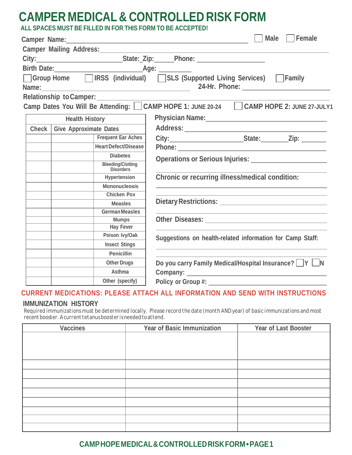# **CAMPERMEDICAL& CONTROLLEDRISK FORM**

| ALL SPACES MUST BE FILLED IN FOR THIS FORM TO BE ACCEPTED! |  |
|------------------------------------------------------------|--|
|------------------------------------------------------------|--|

|       | Camper Name: Name:                           | Female<br>  Male                                                                                     |
|-------|----------------------------------------------|------------------------------------------------------------------------------------------------------|
|       | Camper Mailing Address:                      |                                                                                                      |
|       |                                              | City:___________________________________State:_Zip:_______Phone: _______________                     |
|       |                                              |                                                                                                      |
|       |                                              | □ Group Home □ IRSS (individual) □ SLS (Supported Living Services) □ Family                          |
|       |                                              |                                                                                                      |
|       | Relationship to Camper:                      |                                                                                                      |
|       |                                              | Camp Dates You Will Be Attending: CAMP HOPE 1: JUNE 20-24 CAMP HOPE 2: JUNE 27-JULY1                 |
|       |                                              |                                                                                                      |
|       | <b>Health History</b>                        | Physician Name: 1988 and 2008 and 2010 and 2010 and 2010 and 2010 and 2010 and 2011 and 2011 and 201 |
| Check | <b>Give Approximate Dates</b>                |                                                                                                      |
|       | Frequent Ear Aches                           |                                                                                                      |
|       | <b>Heart Defect/Disease</b>                  |                                                                                                      |
|       | <b>Diabetes</b>                              |                                                                                                      |
|       | <b>Bleeding/Clotting</b><br><b>Disorders</b> |                                                                                                      |
|       | Hypertension                                 | Chronic or recurring illness/medical condition:                                                      |
|       | Mononucleosis                                |                                                                                                      |
|       | <b>Chicken Pox</b>                           |                                                                                                      |
|       | <b>Measles</b>                               |                                                                                                      |
|       | <b>German Measles</b>                        |                                                                                                      |
|       | <b>Mumps</b>                                 |                                                                                                      |
|       | <b>Hay Fever</b>                             |                                                                                                      |
|       | Poison Ivy/Oak                               | Suggestions on health-related information for Camp Staff:                                            |
|       | <b>Insect Stings</b>                         |                                                                                                      |
|       | Penicillin                                   |                                                                                                      |
|       | <b>Other Drugs</b>                           | Do you carry Family Medical/Hospital Insurance?   Y   N                                              |
|       | Asthma                                       |                                                                                                      |
|       | Other (specify)                              |                                                                                                      |
|       |                                              |                                                                                                      |

# **CURRENT MEDICATIONS: PLEASE ATTACH ALL INFORMATION AND SEND WITH INSTRUCTIONS**

#### **IMMUNIZATION HISTORY**

Required immunizations must be determined locally. Please record the date (month AND year) of basic immunizations and most *recentbooster.Acurrenttetanusboosterisneededtoattend.*

| <b>Vaccines</b> | Year of Basic Immunization | Year of Last Booster |  |  |
|-----------------|----------------------------|----------------------|--|--|
|                 |                            |                      |  |  |
|                 |                            |                      |  |  |
|                 |                            |                      |  |  |
|                 |                            |                      |  |  |
|                 |                            |                      |  |  |
|                 |                            |                      |  |  |
|                 |                            |                      |  |  |
|                 |                            |                      |  |  |
|                 |                            |                      |  |  |
|                 |                            |                      |  |  |
|                 |                            |                      |  |  |

## **CAMPHOPEMEDICAL&CONTROLLEDRISKFORM•PAGE1**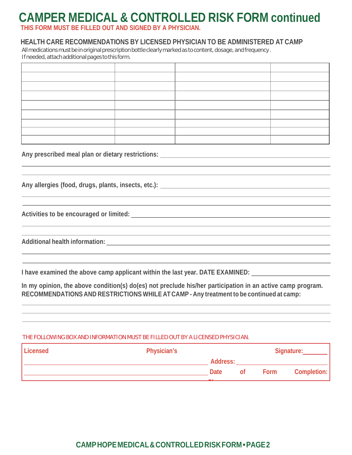# **CAMPER MEDICAL & CONTROLLED RISK FORM continued**

**THIS FORM MUST BE FILLED OUT AND SIGNED BY A PHYSICIAN.**

### **HEALTH CARE RECOMMENDATIONS BY LICENSED PHYSICIAN TO BE ADMINISTERED AT CAMP**

All medications must be in original prescription bottle clearly marked as to content, dosage, and frequency. If needed, attach additional pages to this form.

**Any prescribed meal plan or dietary restrictions:**

**Any allergies (food, drugs, plants, insects, etc.):**

**Activities to be encouraged or limited:**

**Additional health information:**

**I have examined the above camp applicant within the last year. DATE EXAMINED:**

**In my opinion, the above condition(s) do(es) not preclude his/her participation in an active camp program. RECOMMENDATIONS AND RESTRICTIONS WHILE ATCAMP - Any treatment to be continued at camp:**

#### THE FOLLOWING BOX AND INFORMATION MUST BE FILLED OUT BY A LICENSED PHYSICIAN.

| Licensed | Physician's |          |    |      | Signature:  |  |  |
|----------|-------------|----------|----|------|-------------|--|--|
|          |             | Address: |    |      |             |  |  |
|          |             | Date     | 0t | Form | Completion: |  |  |
|          |             | -        |    |      |             |  |  |